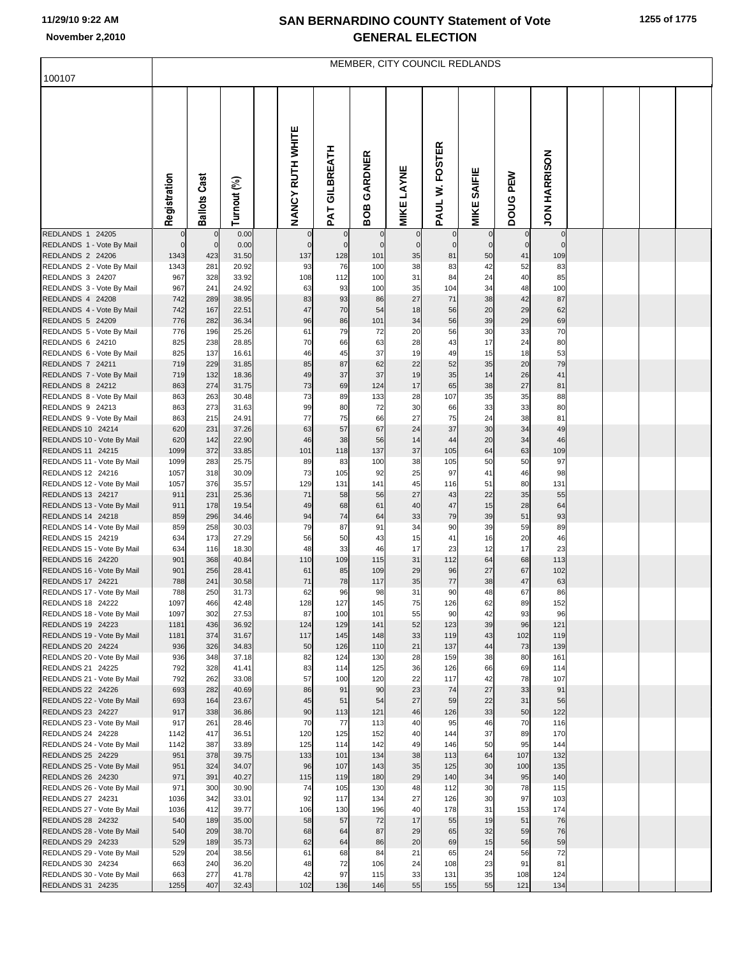## **SAN BERNARDINO COUNTY Statement of Vote November 2,2010 GENERAL ELECTION**

|                                                 | MEMBER, CITY COUNCIL REDLANDS |                     |                |  |                    |                         |                       |                   |                   |                              |                   |                     |  |  |  |  |
|-------------------------------------------------|-------------------------------|---------------------|----------------|--|--------------------|-------------------------|-----------------------|-------------------|-------------------|------------------------------|-------------------|---------------------|--|--|--|--|
| 100107                                          |                               |                     |                |  |                    |                         |                       |                   |                   |                              |                   |                     |  |  |  |  |
|                                                 | Registration                  | <b>Ballots Cast</b> | Turnout (%)    |  | NANCY RUTH WHITE   | GILBREATH<br><b>TVd</b> | GARDNER<br>BOB        | <b>MIKE LAYNE</b> | W. FOSTER<br>PAUL | <b>SAIFIE</b><br><b>MIKE</b> | PEW<br>poug       | <b>JON HARRISON</b> |  |  |  |  |
| <b>REDLANDS 1 24205</b>                         |                               | $\mathbf 0$         | 0.00           |  | $\mathbf 0$        | $\mathbf 0$             | $\overline{0}$        | $\mathbf 0$       |                   | $\mathbf 0$                  | $\mathbf 0$       | $\pmb{0}$           |  |  |  |  |
| REDLANDS 1 - Vote By Mail<br>REDLANDS 2 24206   | $\mathbf 0$<br>1343           | $\circ$<br>423      | 0.00<br>31.50  |  | $\mathbf 0$<br>137 | $\mathbf 0$<br>128      | $\overline{0}$<br>101 | $\mathbf 0$<br>35 | $\mathbf 0$<br>81 | $\overline{0}$<br>50         | $\mathbf 0$<br>41 | $\mathbf 0$<br>109  |  |  |  |  |
| REDLANDS 2 - Vote By Mail                       | 1343                          | 281                 | 20.92          |  | 93                 | 76                      | 100                   | 38                | 83                | 42                           | 52                | 83                  |  |  |  |  |
| REDLANDS 3 24207                                | 967                           | 328                 | 33.92          |  | 108                | 112                     | 100                   | 31                | 84                | 24                           | 40                | 85                  |  |  |  |  |
| REDLANDS 3 - Vote By Mail<br>REDLANDS 4 24208   | 967<br>742                    | 241<br>289          | 24.92<br>38.95 |  | 63<br>83           | 93<br>93                | 100<br>86             | 35<br>27          | 104<br>71         | 34<br>38                     | 48<br>42          | 100<br>87           |  |  |  |  |
| REDLANDS 4 - Vote By Mail                       | 742                           | 167                 | 22.51          |  | 47                 | 70                      | 54                    | 18                | 56                | 20                           | 29                | 62                  |  |  |  |  |
| REDLANDS 5 24209                                | 776                           | 282                 | 36.34          |  | 96                 | 86                      | 101                   | 34                | 56                | 39                           | 29                | 69                  |  |  |  |  |
| REDLANDS 5 - Vote By Mail                       | 776                           | 196                 | 25.26          |  | 61                 | 79                      | 72                    | 20                | 56                | 30                           | 33                | 70                  |  |  |  |  |
| REDLANDS 6 24210<br>REDLANDS 6 - Vote By Mail   | 825<br>825                    | 238<br>137          | 28.85<br>16.61 |  | 70<br>46           | 66<br>45                | 63<br>37              | 28<br>19          | 43<br>49          | 17<br>15                     | 24<br>18          | 80<br>53            |  |  |  |  |
| REDLANDS 7 24211                                | 719                           | 229                 | 31.85          |  | 85                 | 87                      | 62                    | 22                | 52                | 35                           | 20                | 79                  |  |  |  |  |
| REDLANDS 7 - Vote By Mail                       | 719                           | 132                 | 18.36          |  | 49                 | 37                      | 37                    | 19                | 35                | 14                           | 26                | 41                  |  |  |  |  |
| REDLANDS 8 24212                                | 863                           | 274                 | 31.75          |  | 73                 | 69                      | 124                   | 17                | 65                | 38                           | 27                | 81                  |  |  |  |  |
| REDLANDS 8 - Vote By Mail<br>REDLANDS 9 24213   | 863<br>863                    | 263<br>273          | 30.48<br>31.63 |  | 73<br>99           | 89<br>80                | 133<br>72             | 28<br>30          | 107<br>66         | 35<br>33                     | 35<br>33          | 88<br>80            |  |  |  |  |
| REDLANDS 9 - Vote By Mail                       | 863                           | 215                 | 24.91          |  | 77                 | 75                      | 66                    | 27                | 75                | 24                           | 38                | 81                  |  |  |  |  |
| REDLANDS 10 24214                               | 620                           | 231                 | 37.26          |  | 63                 | 57                      | 67                    | 24                | 37                | 30                           | 34                | 49                  |  |  |  |  |
| REDLANDS 10 - Vote By Mail                      | 620                           | 142                 | 22.90          |  | 46                 | 38                      | 56                    | 14                | 44                | 20                           | 34                | 46                  |  |  |  |  |
| REDLANDS 11 24215<br>REDLANDS 11 - Vote By Mail | 1099<br>1099                  | 372<br>283          | 33.85<br>25.75 |  | 101<br>89          | 118<br>83               | 137<br>100            | 37<br>38          | 105<br>105        | 64<br>50                     | 63<br>50          | 109<br>97           |  |  |  |  |
| REDLANDS 12 24216                               | 1057                          | 318                 | 30.09          |  | 73                 | 105                     | 92                    | 25                | 97                | 41                           | 46                | 98                  |  |  |  |  |
| REDLANDS 12 - Vote By Mail                      | 1057                          | 376                 | 35.57          |  | 129                | 131                     | 141                   | 45                | 116               | 51                           | 80                | 131                 |  |  |  |  |
| REDLANDS 13 24217                               | 911                           | 231                 | 25.36          |  | 71                 | 58                      | 56                    | 27                | 43                | 22                           | 35                | 55                  |  |  |  |  |
| REDLANDS 13 - Vote By Mail<br>REDLANDS 14 24218 | 911<br>859                    | 178<br>296          | 19.54<br>34.46 |  | 49<br>94           | 68<br>74                | 61<br>64              | 40<br>33          | 47<br>79          | 15<br>39                     | 28<br>51          | 64<br>93            |  |  |  |  |
| REDLANDS 14 - Vote By Mail                      | 859                           | 258                 | 30.03          |  | 79                 | 87                      | 91                    | 34                | 90                | 39                           | 59                | 89                  |  |  |  |  |
| REDLANDS 15 24219                               | 634                           | 173                 | 27.29          |  | 56                 | 50                      | 43                    | 15                | 41                | 16                           | 20                | 46                  |  |  |  |  |
| REDLANDS 15 - Vote By Mail<br>REDLANDS 16 24220 | 634<br>901                    | 116<br>368          | 18.30<br>40.84 |  | 48<br>110          | 33<br>109               | 46<br>115             | 17<br>31          | 23<br>112         | 12<br>64                     | 17<br>68          | 23<br>113           |  |  |  |  |
| REDLANDS 16 - Vote By Mail                      | 901                           | 256                 | 28.41          |  | 61                 | 85                      | 109                   | 29                | 96                | 27                           | 67                | 102                 |  |  |  |  |
| REDLANDS 17 24221                               | 788                           | 241                 | 30.58          |  | 71                 | 78                      | 117                   | 35                | 77                | 38                           | 47                | 63                  |  |  |  |  |
| REDLANDS 17 - Vote By Mail                      | 788                           | 250                 | 31.73          |  | 62                 | 96                      | 98                    | 31                | 90                | 48                           | 67                | 86                  |  |  |  |  |
| REDLANDS 18 24222<br>REDLANDS 18 - Vote By Mail | 1097<br>1097                  | 466<br>302          | 42.48<br>27.53 |  | 128<br>87          | 127<br>100              | 145<br>101            | 75<br>55          | 126<br>90         | 62<br>42                     | 89<br>93          | 152<br>96           |  |  |  |  |
| REDLANDS 19 24223                               | 1181                          | 436                 | 36.92          |  | 124                | 129                     | 141                   | 52                | 123               | 39                           | 96                | 121                 |  |  |  |  |
| REDLANDS 19 - Vote By Mail                      | 1181                          | 374                 | 31.67          |  | 117                | 145                     | 148                   | 33                | 119               | 43                           | 102               | 119                 |  |  |  |  |
| REDLANDS 20 24224                               | 936                           | 326                 | 34.83          |  | 50                 | 126                     | 110                   | 21                | 137               | 44                           | 73                | 139                 |  |  |  |  |
| REDLANDS 20 - Vote By Mail<br>REDLANDS 21 24225 | 936<br>792                    | 348<br>328          | 37.18<br>41.41 |  | 82<br>83           | 124<br>114              | 130<br>125            | 28<br>36          | 159<br>126        | 38<br>66                     | 80<br>69          | 161<br>114          |  |  |  |  |
| REDLANDS 21 - Vote By Mail                      | 792                           | 262                 | 33.08          |  | 57                 | 100                     | 120                   | 22                | 117               | 42                           | 78                | 107                 |  |  |  |  |
| REDLANDS 22 24226                               | 693                           | 282                 | 40.69          |  | 86                 | 91                      | 90                    | 23                | 74                | 27                           | 33                | 91                  |  |  |  |  |
| REDLANDS 22 - Vote By Mail<br>REDLANDS 23 24227 | 693<br>917                    | 164<br>338          | 23.67<br>36.86 |  | 45<br>90           | 51<br>113               | 54<br>121             | 27<br>46          | 59<br>126         | 22<br>33                     | 31<br>50          | 56<br>122           |  |  |  |  |
| REDLANDS 23 - Vote By Mail                      | 917                           | 261                 | 28.46          |  | 70                 | 77                      | 113                   | 40                | 95                | 46                           | 70                | 116                 |  |  |  |  |
| REDLANDS 24 24228                               | 1142                          | 417                 | 36.51          |  | 120                | 125                     | 152                   | 40                | 144               | 37                           | 89                | 170                 |  |  |  |  |
| REDLANDS 24 - Vote By Mail                      | 1142                          | 387                 | 33.89          |  | 125                | 114                     | 142                   | 49                | 146               | 50                           | 95                | 144                 |  |  |  |  |
| REDLANDS 25 24229<br>REDLANDS 25 - Vote By Mail | 951<br>951                    | 378<br>324          | 39.75<br>34.07 |  | 133<br>96          | 101<br>107              | 134<br>143            | 38<br>35          | 113<br>125        | 64<br>30                     | 107<br>100        | 132<br>135          |  |  |  |  |
| REDLANDS 26 24230                               | 971                           | 391                 | 40.27          |  | 115                | 119                     | 180                   | 29                | 140               | 34                           | 95                | 140                 |  |  |  |  |
| REDLANDS 26 - Vote By Mail                      | 971                           | 300                 | 30.90          |  | 74                 | 105                     | 130                   | 48                | 112               | 30                           | 78                | 115                 |  |  |  |  |
| REDLANDS 27 24231                               | 1036                          | 342                 | 33.01          |  | 92                 | 117                     | 134                   | 27<br>40          | 126               | 30                           | 97                | 103                 |  |  |  |  |
| REDLANDS 27 - Vote By Mail<br>REDLANDS 28 24232 | 1036<br>540                   | 412<br>189          | 39.77<br>35.00 |  | 106<br>58          | 130<br>57               | 196<br>72             | 17                | 178<br>55         | 31<br>19                     | 153<br>51         | 174<br>76           |  |  |  |  |
| REDLANDS 28 - Vote By Mail                      | 540                           | 209                 | 38.70          |  | 68                 | 64                      | 87                    | 29                | 65                | 32                           | 59                | 76                  |  |  |  |  |
| REDLANDS 29 24233                               | 529                           | 189                 | 35.73          |  | 62                 | 64                      | 86                    | 20                | 69                | 15                           | 56                | 59                  |  |  |  |  |
| REDLANDS 29 - Vote By Mail                      | 529<br>663                    | 204                 | 38.56<br>36.20 |  | 61<br>48           | 68<br>72                | 84<br>106             | 21<br>24          | 65<br>108         | 24<br>23                     | 56<br>91          | 72<br>81            |  |  |  |  |
| REDLANDS 30 24234<br>REDLANDS 30 - Vote By Mail | 663                           | 240<br>277          | 41.78          |  | 42                 | 97                      | 115                   | 33                | 131               | 35                           | 108               | 124                 |  |  |  |  |
| REDLANDS 31 24235                               | 1255                          | 407                 | 32.43          |  | 102                | 136                     | 146                   | 55                | 155               | 55                           | 121               | 134                 |  |  |  |  |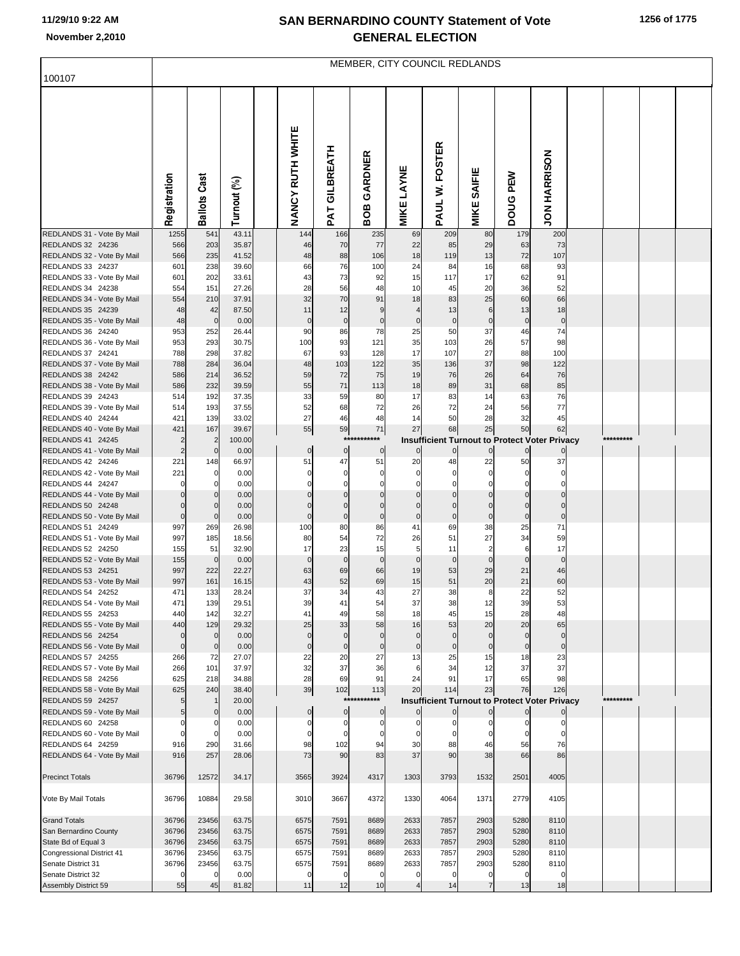## **SAN BERNARDINO COUNTY Statement of Vote November 2,2010 GENERAL ELECTION**

|                                                 | MEMBER, CITY COUNCIL REDLANDS |                     |                |  |                          |                   |                            |                   |                                                      |                         |                    |                      |  |           |  |  |
|-------------------------------------------------|-------------------------------|---------------------|----------------|--|--------------------------|-------------------|----------------------------|-------------------|------------------------------------------------------|-------------------------|--------------------|----------------------|--|-----------|--|--|
| 100107                                          |                               |                     |                |  |                          |                   |                            |                   |                                                      |                         |                    |                      |  |           |  |  |
|                                                 | Registration                  | <b>Ballots Cast</b> | Turnout (%)    |  | NANCY RUTH WHITE         | GILBREATH<br>PAT  | GARDNER<br>BOB             | <b>MIKE LAYNE</b> | W. FOSTER<br>PAUL <sup>1</sup>                       | <b>MIKE SAIFIE</b>      | PEW<br>poug        | <b>JON HARRISON</b>  |  |           |  |  |
| REDLANDS 31 - Vote By Mail                      | 1255                          | 541                 | 43.11          |  | 144                      | 166               | 235                        | 69                | 209                                                  | 80                      | 179                | 200                  |  |           |  |  |
| REDLANDS 32 24236<br>REDLANDS 32 - Vote By Mail | 566<br>566                    | 203<br>235          | 35.87<br>41.52 |  | 46<br>48                 | 70<br>88          | 77<br>106                  | 22<br>18          | 85<br>119                                            | 29<br>13                | 63<br>72           | 73<br>107            |  |           |  |  |
| REDLANDS 33 24237                               | 601                           | 238                 | 39.60          |  | 66                       | 76                | 100                        | 24                | 84                                                   | 16                      | 68                 | 93                   |  |           |  |  |
| REDLANDS 33 - Vote By Mail                      | 601                           | 202                 | 33.61          |  | 43                       | 73                | 92                         | 15                | 117                                                  | 17                      | 62                 | 91                   |  |           |  |  |
| REDLANDS 34 24238                               | 554                           | 151                 | 27.26          |  | 28                       | 56                | 48                         | 10                | 45                                                   | 20                      | 36                 | 52                   |  |           |  |  |
| REDLANDS 34 - Vote By Mail                      | 554                           | 210                 | 37.91          |  | 32                       | 70                | 91                         | 18                | 83                                                   | 25                      | 60                 | 66                   |  |           |  |  |
| REDLANDS 35 24239<br>REDLANDS 35 - Vote By Mail | 48<br>48                      | 42<br>$\mathbf 0$   | 87.50<br>0.00  |  | 11<br>$\mathbf 0$        | 12<br>$\pmb{0}$   | 9<br>$\mathbf 0$           | 4<br>$\pmb{0}$    | 13<br>$\overline{0}$                                 | 6<br>$\mathbf 0$        | 13<br>$\pmb{0}$    | 18<br>$\pmb{0}$      |  |           |  |  |
| REDLANDS 36 24240                               | 953                           | 252                 | 26.44          |  | 90                       | 86                | 78                         | 25                | 50                                                   | 37                      | 46                 | 74                   |  |           |  |  |
| REDLANDS 36 - Vote By Mail                      | 953                           | 293                 | 30.75          |  | 100                      | 93                | 121                        | 35                | 103                                                  | 26                      | 57                 | 98                   |  |           |  |  |
| REDLANDS 37 24241                               | 788                           | 298                 | 37.82          |  | 67                       | 93                | 128                        | 17                | 107                                                  | 27                      | 88                 | 100                  |  |           |  |  |
| REDLANDS 37 - Vote By Mail                      | 788                           | 284                 | 36.04          |  | 48                       | 103               | 122                        | 35                | 136                                                  | 37                      | 98                 | 122                  |  |           |  |  |
| REDLANDS 38 24242                               | 586                           | 214                 | 36.52          |  | 59                       | 72                | 75                         | 19                | 76                                                   | 26                      | 64                 | 76                   |  |           |  |  |
| REDLANDS 38 - Vote By Mail<br>REDLANDS 39 24243 | 586<br>514                    | 232<br>192          | 39.59<br>37.35 |  | 55<br>33                 | 71<br>59          | 113<br>80                  | 18<br>17          | 89<br>83                                             | 31<br>14                | 68<br>63           | 85<br>76             |  |           |  |  |
| REDLANDS 39 - Vote By Mail                      | 514                           | 193                 | 37.55          |  | 52                       | 68                | 72                         | 26                | 72                                                   | 24                      | 56                 | 77                   |  |           |  |  |
| REDLANDS 40 24244                               | 421                           | 139                 | 33.02          |  | 27                       | 46                | 48                         | 14                | 50                                                   | 28                      | 32                 | 45                   |  |           |  |  |
| REDLANDS 40 - Vote By Mail                      | 421                           | 167                 | 39.67          |  | 55                       | 59                | ${\bf 71}$                 | 27                | 68                                                   | 25                      | 50                 | 62                   |  |           |  |  |
| REDLANDS 41 24245                               | $\overline{2}$                | $\overline{2}$      | 100.00         |  |                          | $***$             | ***                        |                   | <b>Insufficient Turnout to Protect Voter Privacy</b> |                         |                    |                      |  | ********* |  |  |
| REDLANDS 41 - Vote By Mail                      | $\overline{2}$                | $\mathbf 0$         | 0.00           |  | $\overline{0}$           | $\bf{0}$          | $\overline{0}$             | $\mathbf 0$       | $\circ$                                              | $\mathbf 0$             | $\overline{0}$     | $\mathbf{0}$         |  |           |  |  |
| REDLANDS 42 24246<br>REDLANDS 42 - Vote By Mail | 221<br>221                    | 148<br>0            | 66.97<br>0.00  |  | 51<br>$\mathbf 0$        | 47<br>$\mathbf 0$ | 51<br>$\mathbf 0$          | 20<br>$\mathbf 0$ | 48<br>$\mathbf 0$                                    | 22<br>$\mathbf 0$       | 50<br>$\mathbf 0$  | 37<br>$\Omega$       |  |           |  |  |
| REDLANDS 44 24247                               | $\mathbf 0$                   | $\Omega$            | 0.00           |  | $\mathbf 0$              | 0                 | $\mathbf 0$                | $\Omega$          | $\mathbf 0$                                          | $\Omega$                | $\Omega$           | $\Omega$             |  |           |  |  |
| REDLANDS 44 - Vote By Mail                      | $\mathbf 0$                   |                     | 0.00           |  |                          |                   | $\Omega$                   |                   | $\mathbf 0$                                          |                         |                    |                      |  |           |  |  |
| REDLANDS 50 24248                               | $\mathbf 0$                   | $\Omega$            | 0.00           |  | 0                        | $\mathsf{C}$      | $\Omega$                   |                   | $\mathbf 0$                                          |                         | $\Omega$           | $\Omega$             |  |           |  |  |
| REDLANDS 50 - Vote By Mail                      | $\bf 0$                       | $\Omega$            | 0.00           |  | $\mathbf 0$              | $\mathsf{C}$      | $\pmb{0}$                  | $\mathbf 0$       | $\pmb{0}$                                            | $\mathbf 0$             | $\mathbf 0$        | $\mathbf 0$          |  |           |  |  |
| REDLANDS 51 24249<br>REDLANDS 51 - Vote By Mail | 997<br>997                    | 269<br>185          | 26.98<br>18.56 |  | 100<br>80                | 80<br>54          | 86<br>72                   | 41<br>26          | 69<br>51                                             | 38<br>27                | 25<br>34           | 71<br>59             |  |           |  |  |
| REDLANDS 52 24250                               | 155                           | 51                  | 32.90          |  | 17                       | 23                | 15                         | 5                 | 11                                                   | $\overline{\mathbf{c}}$ | 6                  | 17                   |  |           |  |  |
| REDLANDS 52 - Vote By Mail                      | 155                           | $\mathbf 0$         | 0.00           |  | $\mathbf 0$              | $\mathbf 0$       | $\mathbf 0$                | $\mathbf 0$       | $\mathbf 0$                                          | $\mathbf 0$             | $\mathbf 0$        | $\mathbf 0$          |  |           |  |  |
| REDLANDS 53 24251                               | 997                           | 222                 | 22.27          |  | 63                       | 69                | 66                         | 19                | 53                                                   | 29                      | 21                 | 46                   |  |           |  |  |
| REDLANDS 53 - Vote By Mail                      | 997<br>471                    | 161<br>133          | 16.15<br>28.24 |  | 43<br>37                 | 52<br>34          | 69<br>43                   | 15<br>27          | 51<br>38                                             | 20<br>8                 | 21<br>22           | 60<br>52             |  |           |  |  |
| REDLANDS 54 24252<br>REDLANDS 54 - Vote By Mail | 471                           | 139                 | 29.51          |  | 39                       | 41                | 54                         | 37                | 38                                                   | 12                      | 39                 | 53                   |  |           |  |  |
| REDLANDS 55 24253                               | 440                           | 142                 | 32.27          |  | 41                       | 49                | 58                         | 18                | 45                                                   | 15                      | 28                 | 48                   |  |           |  |  |
| REDLANDS 55 - Vote By Mail                      | 440                           | 129                 | 29.32          |  | 25                       | 33                | 58                         | 16                | 53                                                   | 20                      | 20                 | 65                   |  |           |  |  |
| REDLANDS 56 24254                               | $\bf 0$                       | $\mathbf{0}$        | 0.00           |  | $\mathbf 0$              | $\mathbf 0$       | $\overline{0}$             | $\mathbf 0$       | $\overline{0}$                                       | $\mathbf 0$             | $\mathbf 0$        | $\overline{0}$       |  |           |  |  |
| REDLANDS 56 - Vote By Mail<br>REDLANDS 57 24255 | $\mathbf 0$<br>266            | $\mathbf 0$<br>72   | 0.00<br>27.07  |  | $\mathbf 0$<br>22        | $\mathbf 0$<br>20 | $\mathbf 0$<br>27          | $\mathbf 0$<br>13 | $\overline{0}$<br>25                                 | $\Omega$<br>15          | $\mathbf{0}$<br>18 | $\overline{0}$<br>23 |  |           |  |  |
| REDLANDS 57 - Vote By Mail                      | 266                           | 101                 | 37.97          |  | 32                       | 37                | 36                         | 6                 | 34                                                   | 12                      | 37                 | 37                   |  |           |  |  |
| REDLANDS 58 24256                               | 625                           | 218                 | 34.88          |  | 28                       | 69                | 91                         | 24                | 91                                                   | 17                      | 65                 | 98                   |  |           |  |  |
| REDLANDS 58 - Vote By Mail                      | 625                           | 240                 | 38.40          |  | 39                       | 102               | 113                        | 20                | 114                                                  | 23                      | 76                 | 126                  |  |           |  |  |
| REDLANDS 59 24257                               | 5                             |                     | 20.00          |  |                          | $***$             | ***                        |                   | <b>Insufficient Turnout to Protect Voter Privacy</b> |                         |                    |                      |  | ********* |  |  |
| REDLANDS 59 - Vote By Mail<br>REDLANDS 60 24258 | 5<br>$\mathbf 0$              | 0<br>$\Omega$       | 0.00<br>0.00   |  | $\pmb{0}$<br>$\mathbf 0$ | 0<br>C            | $\overline{0}$<br>$\Omega$ | O                 | $\overline{0}$<br>$\mathbf{0}$                       | $\mathbf 0$             | $\overline{0}$     |                      |  |           |  |  |
| REDLANDS 60 - Vote By Mail                      | $\mathbf 0$                   | $\Omega$            | 0.00           |  | 0                        | C                 | $\Omega$                   |                   | $\mathbf 0$                                          |                         |                    | $\Omega$             |  |           |  |  |
| REDLANDS 64 24259                               | 916                           | 290                 | 31.66          |  | 98                       | 102               | 94                         | 30                | 88                                                   | 46                      | 56                 | 76                   |  |           |  |  |
| REDLANDS 64 - Vote By Mail                      | 916                           | 257                 | 28.06          |  | 73                       | 90                | 83                         | 37                | 90                                                   | 38                      | 66                 | 86                   |  |           |  |  |
| <b>Precinct Totals</b>                          | 36796                         | 12572               | 34.17          |  | 3565                     | 3924              | 4317                       | 1303              | 3793                                                 | 1532                    | 2501               | 4005                 |  |           |  |  |
| Vote By Mail Totals                             | 36796                         | 10884               | 29.58          |  | 3010                     | 3667              | 4372                       | 1330              | 4064                                                 | 1371                    | 2779               | 4105                 |  |           |  |  |
| <b>Grand Totals</b>                             | 36796                         | 23456               | 63.75          |  | 6575                     | 7591              | 8689                       | 2633              | 7857                                                 | 2903                    | 5280               | 8110                 |  |           |  |  |
| San Bernardino County                           | 36796                         | 23456               | 63.75          |  | 6575                     | 7591              | 8689                       | 2633              | 7857                                                 | 2903                    | 5280               | 8110                 |  |           |  |  |
| State Bd of Equal 3                             | 36796                         | 23456               | 63.75          |  | 6575                     | 7591              | 8689                       | 2633              | 7857                                                 | 2903                    | 5280               | 8110                 |  |           |  |  |
| Congressional District 41<br>Senate District 31 | 36796<br>36796                | 23456<br>23456      | 63.75<br>63.75 |  | 6575<br>6575             | 7591<br>7591      | 8689<br>8689               | 2633<br>2633      | 7857<br>7857                                         | 2903<br>2903            | 5280<br>5280       | 8110<br>8110         |  |           |  |  |
| Senate District 32                              |                               | $\Omega$            | 0.00           |  | $\mathbf 0$              | $\mathbf 0$       | $\mathbf 0$                | 0                 | $\overline{0}$                                       | $\Omega$                | $\Omega$           | $\Omega$             |  |           |  |  |
| Assembly District 59                            | 55                            | 45                  | 81.82          |  | 11                       | 12                | 10                         | 4                 | 14                                                   |                         | 13                 | 18                   |  |           |  |  |